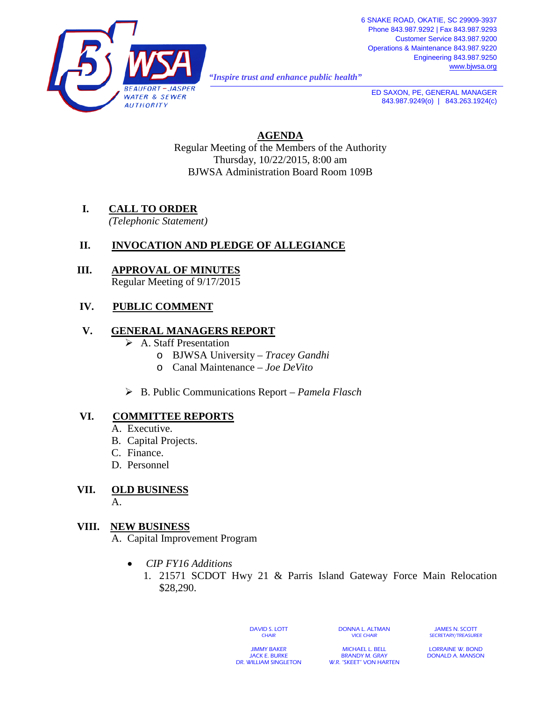

*"Inspire trust and enhance public health"* 

**ED SAXON, PE, GENERAL MANAGER** 843.987.9249(o) | 843.263.1924(c)

**AGENDA** Regular Meeting of the Members of the Authority Thursday, 10/22/2015, 8:00 am BJWSA Administration Board Room 109B

# **I. CALL TO ORDER**

*(Telephonic Statement)*

# **II. INVOCATION AND PLEDGE OF ALLEGIANCE**

#### **III. APPROVAL OF MINUTES** Regular Meeting of 9/17/2015

# **IV. PUBLIC COMMENT**

## **V. GENERAL MANAGERS REPORT**

- A. Staff Presentation
	- o BJWSA University *Tracey Gandhi*
	- o Canal Maintenance *Joe DeVito*
- B. Public Communications Report *Pamela Flasch*

## **VI. COMMITTEE REPORTS**

- A. Executive.
- B. Capital Projects.
- C. Finance.
- D. Personnel

#### **VII. OLD BUSINESS** A.

## **VIII. NEW BUSINESS**

A. Capital Improvement Program

- *CIP FY16 Additions*
	- 1. 21571 SCDOT Hwy 21 & Parris Island Gateway Force Main Relocation \$28,290.

DAVID S. LOTT **CHAIR** 

DONNA L. ALTMAN VICE CHAIR

JAMES N. SCOTT SECRETARY/TREASURER

JIMMY BAKER JACK E. BURKE DR. WILLIAM SINGLETON

MICHAEL L. BELL BRANDY M. GRAY W.R. "SKEET" VON HARTEN

LORRAINE W. BOND DONALD A. MANSON